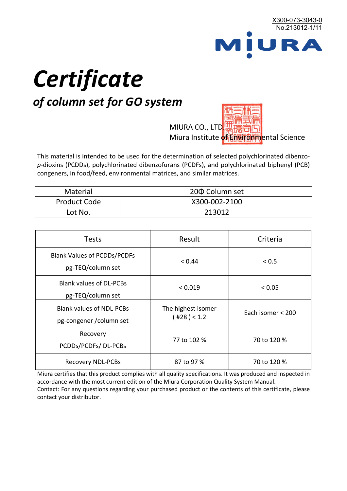

# *Certificate*

## *of column set for GO system*

MIURA CO., LTD. Miura Institute of 正版而解ental Science

This material is intended to be used for the determination of selected polychlorinated dibenzo*p*-dioxins (PCDDs), polychlorinated dibenzofurans (PCDFs), and polychlorinated biphenyl (PCB) congeners, in food/feed, environmental matrices, and similar matrices.

| <b>Material</b>     | 200 Column set |  |
|---------------------|----------------|--|
| <b>Product Code</b> | X300-002-2100  |  |
| Lot No.             | 213012         |  |

| <b>Tests</b>                                                | Result                            | Criteria          |
|-------------------------------------------------------------|-----------------------------------|-------------------|
| <b>Blank Values of PCDDs/PCDFs</b><br>pg-TEQ/column set     | < 0.44                            | < 0.5             |
| <b>Blank values of DL-PCBs</b><br>pg-TEQ/column set         | < 0.019                           | < 0.05            |
| <b>Blank values of NDL-PCBs</b><br>pg-congener / column set | The highest isomer<br>(428) < 1.2 | Each isomer < 200 |
| Recovery<br>PCDDs/PCDFs/DL-PCBs                             | 77 to 102 %                       | 70 to 120 %       |
| <b>Recovery NDL-PCBs</b>                                    | 87 to 97 %                        | 70 to 120 %       |

Miura certifies that this product complies with all quality specifications. It was produced and inspected in accordance with the most current edition of the Miura Corporation Quality System Manual. Contact: For any questions regarding your purchased product or the contents of this certificate, please contact your distributor.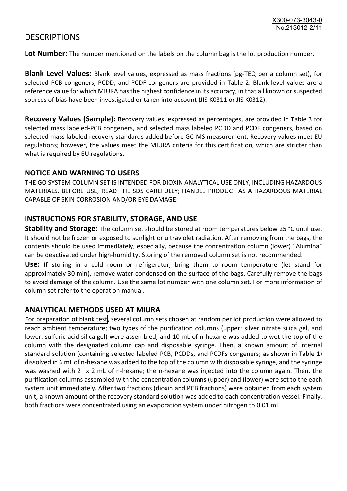### **DESCRIPTIONS**

**Lot Number:** The number mentioned on the labels on the column bag is the lot production number.

**Blank Level Values:** Blank level values, expressed as mass fractions (pg-TEQ per a column set), for selected PCB congeners, PCDD, and PCDF congeners are provided in Table 2. Blank level values are a reference value for which MIURA has the highest confidence in its accuracy, in that all known or suspected sources of bias have been investigated or taken into account (JIS K0311 or JIS K0312).

**Recovery Values (Sample):** Recovery values, expressed as percentages, are provided in Table 3 for selected mass labeled-PCB congeners, and selected mass labeled PCDD and PCDF congeners, based on selected mass labeled recovery standards added before GC-MS measurement. Recovery values meet EU regulations; however, the values meet the MIURA criteria for this certification, which are stricter than what is required by EU regulations.

#### **NOTICE AND WARNING TO USERS**

THE GO SYSTEM COLUMN SET IS INTENDED FOR DIOXIN ANALYTICAL USE ONLY, INCLUDING HAZARDOUS MATERIALS. BEFORE USE, READ THE SDS CAREFULLY; HANDLE PRODUCT AS A HAZARDOUS MATERIAL CAPABLE OF SKIN CORROSION AND/OR EYE DAMAGE.

#### **INSTRUCTIONS FOR STABILITY, STORAGE, AND USE**

**Stability and Storage:** The column set should be stored at room temperatures below 25 °C until use. It should not be frozen or exposed to sunlight or ultraviolet radiation. After removing from the bags, the contents should be used immediately, especially, because the concentration column (lower) "Alumina" can be deactivated under high-humidity. Storing of the removed column set is not recommended.

**Use:** If storing in a cold room or refrigerator, bring them to room temperature (let stand for approximately 30 min), remove water condensed on the surface of the bags. Carefully remove the bags to avoid damage of the column. Use the same lot number with one column set. For more information of column set refer to the operation manual.

#### **ANALYTICAL METHODS USED AT MIURA**

For preparation of blank test, several column sets chosen at random per lot production were allowed to reach ambient temperature; two types of the purification columns (upper: silver nitrate silica gel, and lower: sulfuric acid silica gel) were assembled, and 10 mL of n-hexane was added to wet the top of the column with the designated column cap and disposable syringe. Then, a known amount of internal standard solution (containing selected labeled PCB, PCDDs, and PCDFs congeners; as shown in Table 1) dissolved in 6 mL of n-hexane was added to the top of the column with disposable syringe, and the syringe was washed with 2 x 2 mL of n-hexane; the n-hexane was injected into the column again. Then, the purification columns assembled with the concentration columns (upper) and (lower) were set to the each system unit immediately. After two fractions (dioxin and PCB fractions) were obtained from each system unit, a known amount of the recovery standard solution was added to each concentration vessel. Finally, both fractions were concentrated using an evaporation system under nitrogen to 0.01 mL.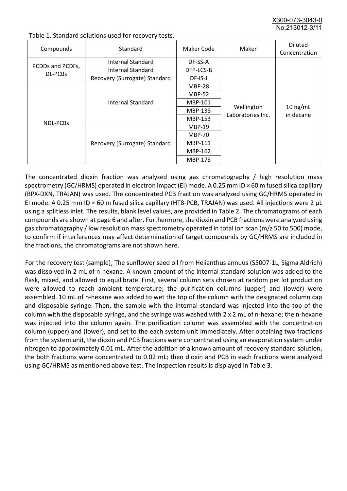X300-073-3043-0 No.213012-3/11

| Compounds                   | Standard                      | Maker Code     | Maker                           | <b>Diluted</b><br>Concentration |
|-----------------------------|-------------------------------|----------------|---------------------------------|---------------------------------|
| PCDDs and PCDFs,<br>DL-PCBs | Internal Standard             | DF-SS-A        |                                 |                                 |
|                             | <b>Internal Standard</b>      | DFP-LCS-B      |                                 |                                 |
|                             | Recovery (Surrogate) Standard | DF-IS-J        | Wellington<br>Laboratories Inc. | $10$ ng/mL<br>in decane         |
| NDL-PCBs                    |                               | <b>MBP-28</b>  |                                 |                                 |
|                             | Internal Standard             | <b>MBP-52</b>  |                                 |                                 |
|                             |                               | MBP-101        |                                 |                                 |
|                             |                               | <b>MBP-138</b> |                                 |                                 |
|                             |                               | MBP-153        |                                 |                                 |
|                             | Recovery (Surrogate) Standard | <b>MBP-19</b>  |                                 |                                 |
|                             |                               | <b>MBP-70</b>  |                                 |                                 |
|                             |                               | MBP-111        |                                 |                                 |
|                             |                               | MBP-162        |                                 |                                 |
|                             |                               | <b>MBP-178</b> |                                 |                                 |

Table 1. Standard solutions used for recovery tests.

The concentrated dioxin fraction was analyzed using gas chromatography / high resolution mass spectrometry (GC/HRMS) operated in electron impact (EI) mode. A 0.25 mm ID × 60 m fused silica capillary (BPX-DXN, TRAJAN) was used. The concentrated PCB fraction was analyzed using GC/HRMS operated in EI mode. A 0.25 mm ID × 60 m fused silica capillary (HT8-PCB, TRAJAN) was used. All injections were 2 μL using a splitless inlet. The results, blank level values, are provided in Table 2. The chromatograms of each compounds are shown at page 6 and after. Furthermore, the dioxin and PCB fractions were analyzed using gas chromatography / low resolution mass spectrometry operated in total ion scan (m/z 50 to 500) mode, to confirm if interferences may affect determination of target compounds by GC/HRMS are included in the fractions, the chromatograms are not shown here.

For the recovery test (sample), The sunflower seed oil from Helianthus annuus (S5007-1L, Sigma Aldrich) was dissolved in 2 mL of n-hexane. A known amount of the internal standard solution was added to the flask, mixed, and allowed to equilibrate. First, several column sets chosen at random per lot production were allowed to reach ambient temperature; the purification columns (upper) and (lower) were assembled. 10 mL of n-hexane was added to wet the top of the column with the designated column cap and disposable syringe. Then, the sample with the internal standard was injected into the top of the column with the disposable syringe, and the syringe was washed with 2 x 2 mL of n-hexane; the n-hexane was injected into the column again. The purification column was assembled with the concentration column (upper) and (lower), and set to the each system unit immediately. After obtaining two fractions from the system unit, the dioxin and PCB fractions were concentrated using an evaporation system under nitrogen to approximately 0.01 mL. After the addition of a known amount of recovery standard solution, the both fractions were concentrated to 0.02 mL; then dioxin and PCB in each fractions were analyzed using GC/HRMS as mentioned above test. The inspection results is displayed in Table 3.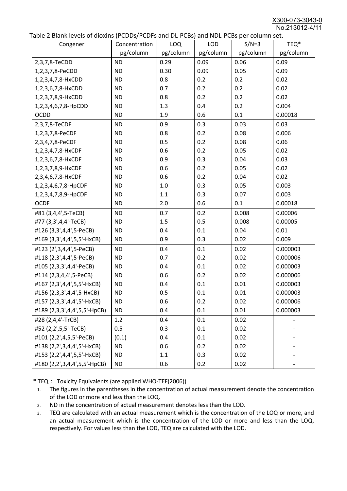X300-073-3043-0 No.213012-4/11

|  | Table 2 Blank levels of dioxins (PCDDs/PCDFs and DL-PCBs) and NDL-PCBs per column set. |
|--|----------------------------------------------------------------------------------------|
|--|----------------------------------------------------------------------------------------|

| abic 2 Diarik icveis of dioxins (I CDD3/TCDTs and DET CD3/ and NDET CD3 pcr column sett.<br>Congener | Concentration | <b>LOQ</b> | <b>LOD</b> | $S/N=3$   | TEQ*      |
|------------------------------------------------------------------------------------------------------|---------------|------------|------------|-----------|-----------|
|                                                                                                      | pg/column     | pg/column  | pg/column  | pg/column | pg/column |
| 2,3,7,8-TeCDD                                                                                        | <b>ND</b>     | 0.29       | 0.09       | 0.06      | 0.09      |
| 1,2,3,7,8-PeCDD                                                                                      | <b>ND</b>     | 0.30       | 0.09       | 0.05      | 0.09      |
| 1,2,3,4,7,8-HxCDD                                                                                    | <b>ND</b>     | 0.8        | 0.2        | 0.2       | 0.02      |
| 1,2,3,6,7,8-HxCDD                                                                                    | <b>ND</b>     | 0.7        | 0.2        | 0.2       | 0.02      |
| 1,2,3,7,8,9-HxCDD                                                                                    | <b>ND</b>     | 0.8        | 0.2        | 0.2       | 0.02      |
| 1,2,3,4,6,7,8-HpCDD                                                                                  | <b>ND</b>     | 1.3        | 0.4        | 0.2       | 0.004     |
| <b>OCDD</b>                                                                                          | <b>ND</b>     | 1.9        | 0.6        | 0.1       | 0.00018   |
| 2,3,7,8-TeCDF                                                                                        | <b>ND</b>     | 0.9        | 0.3        | 0.03      | 0.03      |
| 1,2,3,7,8-PeCDF                                                                                      | <b>ND</b>     | 0.8        | 0.2        | 0.08      | 0.006     |
| 2,3,4,7,8-PeCDF                                                                                      | <b>ND</b>     | 0.5        | 0.2        | 0.08      | 0.06      |
| 1,2,3,4,7,8-HxCDF                                                                                    | <b>ND</b>     | 0.6        | 0.2        | 0.05      | 0.02      |
| 1,2,3,6,7,8-HxCDF                                                                                    | <b>ND</b>     | 0.9        | 0.3        | 0.04      | 0.03      |
| 1,2,3,7,8,9-HxCDF                                                                                    | <b>ND</b>     | 0.6        | 0.2        | 0.05      | 0.02      |
| 2,3,4,6,7,8-HxCDF                                                                                    | <b>ND</b>     | 0.6        | 0.2        | 0.04      | 0.02      |
| 1,2,3,4,6,7,8-HpCDF                                                                                  | <b>ND</b>     | 1.0        | 0.3        | 0.05      | 0.003     |
| 1,2,3,4,7,8,9-HpCDF                                                                                  | <b>ND</b>     | 1.1        | 0.3        | 0.07      | 0.003     |
| <b>OCDF</b>                                                                                          | <b>ND</b>     | 2.0        | 0.6        | 0.1       | 0.00018   |
| #81 (3,4,4',5-TeCB)                                                                                  | <b>ND</b>     | 0.7        | 0.2        | 0.008     | 0.00006   |
| #77 (3,3',4,4'-TeCB)                                                                                 | <b>ND</b>     | 1.5        | 0.5        | 0.008     | 0.00005   |
| #126 (3,3',4,4',5-PeCB)                                                                              | <b>ND</b>     | 0.4        | 0.1        | 0.04      | 0.01      |
| #169 (3,3',4,4',5,5'-HxCB)                                                                           | <b>ND</b>     | 0.9        | 0.3        | 0.02      | 0.009     |
| #123 (2',3,4,4',5-PeCB)                                                                              | <b>ND</b>     | 0.4        | 0.1        | 0.02      | 0.000003  |
| #118 (2,3',4,4',5-PeCB)                                                                              | <b>ND</b>     | 0.7        | 0.2        | 0.02      | 0.000006  |
| #105 (2,3,3',4,4'-PeCB)                                                                              | <b>ND</b>     | 0.4        | 0.1        | 0.02      | 0.000003  |
| #114 (2,3,4,4',5-PeCB)                                                                               | <b>ND</b>     | 0.6        | 0.2        | 0.02      | 0.000006  |
| #167 (2,3',4,4',5,5'-HxCB)                                                                           | <b>ND</b>     | 0.4        | 0.1        | 0.01      | 0.000003  |
| #156 (2,3,3',4,4',5-HxCB)                                                                            | <b>ND</b>     | 0.5        | 0.1        | 0.01      | 0.000003  |
| #157 (2,3,3',4,4',5'-HxCB)                                                                           | <b>ND</b>     | 0.6        | 0.2        | 0.02      | 0.000006  |
| #189 (2,3,3',4,4',5,5'-HpCB)                                                                         | <b>ND</b>     | 0.4        | 0.1        | 0.01      | 0.000003  |
| #28 (2,4,4'-TrCB)                                                                                    | 1.2           | 0.4        | 0.1        | 0.02      |           |
| #52 (2,2',5,5'-TeCB)                                                                                 | 0.5           | 0.3        | 0.1        | 0.02      |           |
| #101 (2,2',4,5,5'-PeCB)                                                                              | (0.1)         | 0.4        | 0.1        | 0.02      |           |
| #138 (2,2',3,4,4',5'-HxCB)                                                                           | <b>ND</b>     | 0.6        | 0.2        | 0.02      |           |
| #153 (2,2',4,4',5,5'-HxCB)                                                                           | <b>ND</b>     | 1.1        | 0.3        | 0.02      |           |
| #180 (2,2',3,4,4',5,5'-HpCB)                                                                         | <b>ND</b>     | 0.6        | 0.2        | 0.02      |           |

\* TEQ: Toxicity Equivalents (are applied WHO-TEF(2006))

- 1. The figures in the parentheses in the concentration of actual measurement denote the concentration of the LOD or more and less than the LOQ.
- 2. ND in the concentration of actual measurement denotes less than the LOD.
- 3. TEQ are calculated with an actual measurement which is the concentration of the LOQ or more, and an actual measurement which is the concentration of the LOD or more and less than the LOQ, respectively. For values less than the LOD, TEQ are calculated with the LOD.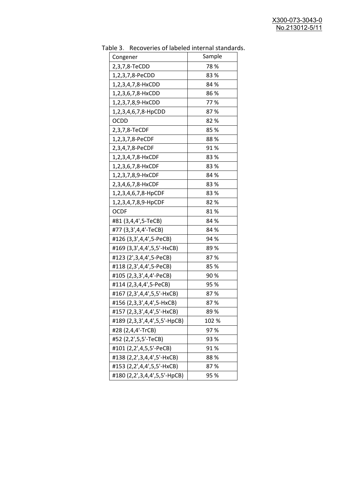| יכ אומג<br><b>INCLOVEDIES OF RESERVE INTERFERIOR STATISTICS</b><br>Congener | Sample |
|-----------------------------------------------------------------------------|--------|
| 2,3,7,8-TeCDD                                                               | 78%    |
| 1,2,3,7,8-PeCDD                                                             | 83%    |
| 1,2,3,4,7,8-HxCDD                                                           | 84 %   |
| 1,2,3,6,7,8-HxCDD                                                           | 86 %   |
| 1,2,3,7,8,9-HxCDD                                                           | 77%    |
| 1,2,3,4,6,7,8-HpCDD                                                         | 87%    |
| <b>OCDD</b>                                                                 | 82%    |
| 2,3,7,8-TeCDF                                                               | 85%    |
| 1,2,3,7,8-PeCDF                                                             | 88%    |
| 2,3,4,7,8-PeCDF                                                             | 91%    |
| 1,2,3,4,7,8-HxCDF                                                           | 83%    |
| 1,2,3,6,7,8-HxCDF                                                           | 83%    |
| 1,2,3,7,8,9-HxCDF                                                           | 84 %   |
| 2,3,4,6,7,8-HxCDF                                                           | 83%    |
| 1,2,3,4,6,7,8-HpCDF                                                         | 83%    |
| 1,2,3,4,7,8,9-HpCDF                                                         | 82%    |
| <b>OCDF</b>                                                                 | 81%    |
| #81 (3,4,4',5-TeCB)                                                         | 84 %   |
| #77 (3,3',4,4'-TeCB)                                                        | 84 %   |
| #126 (3,3',4,4',5-PeCB)                                                     | 94 %   |
| #169 (3,3',4,4',5,5'-HxCB)                                                  | 89%    |
| #123 (2', 3, 4, 4', 5-PeCB)                                                 | 87%    |
| #118 (2,3',4,4',5-PeCB)                                                     | 85%    |
| #105 (2,3,3',4,4'-PeCB)                                                     | 90%    |
| #114 (2,3,4,4',5-PeCB)                                                      | 95 %   |
| #167 (2,3',4,4',5,5'-HxCB)                                                  | 87%    |
| #156 (2,3,3',4,4',5-HxCB)                                                   | 87%    |
| #157 (2,3,3',4,4',5'-HxCB)                                                  | 89 %   |
| #189 (2,3,3',4,4',5,5'-HpCB)                                                | 102 %  |
| #28 (2,4,4'-TrCB)                                                           | 97%    |
| #52 (2,2',5,5'-TeCB)                                                        | 93 %   |
| #101 (2,2',4,5,5'-PeCB)                                                     | 91%    |
| #138 (2,2',3,4,4',5'-HxCB)                                                  | 88%    |
| #153 (2,2',4,4',5,5'-HxCB)                                                  | 87%    |
| #180 (2,2',3,4,4',5,5'-HpCB)                                                | 95 %   |

Table 3. Recoveries of labeled internal standards.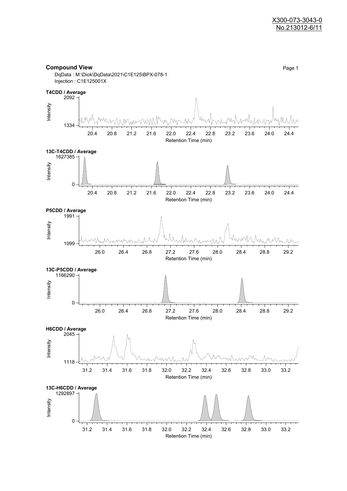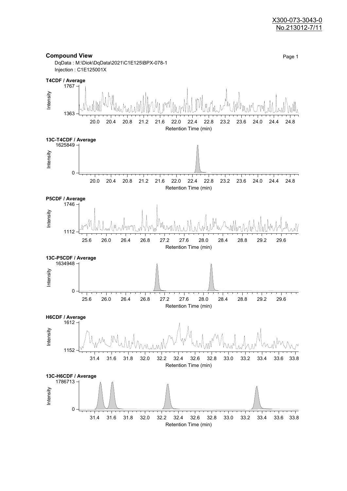#### X300-073-3043-0 No.213012-7/11

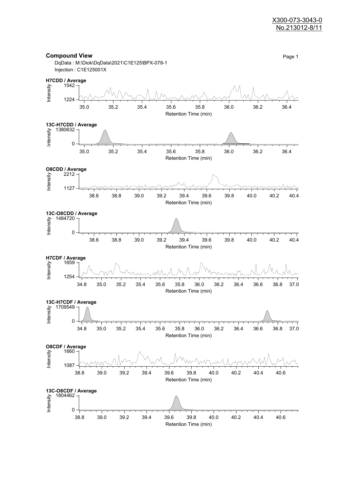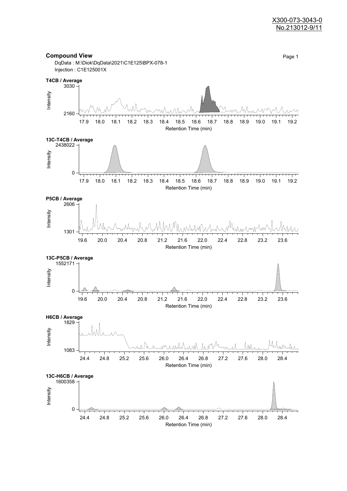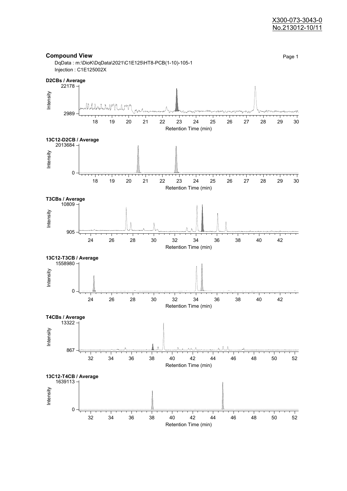